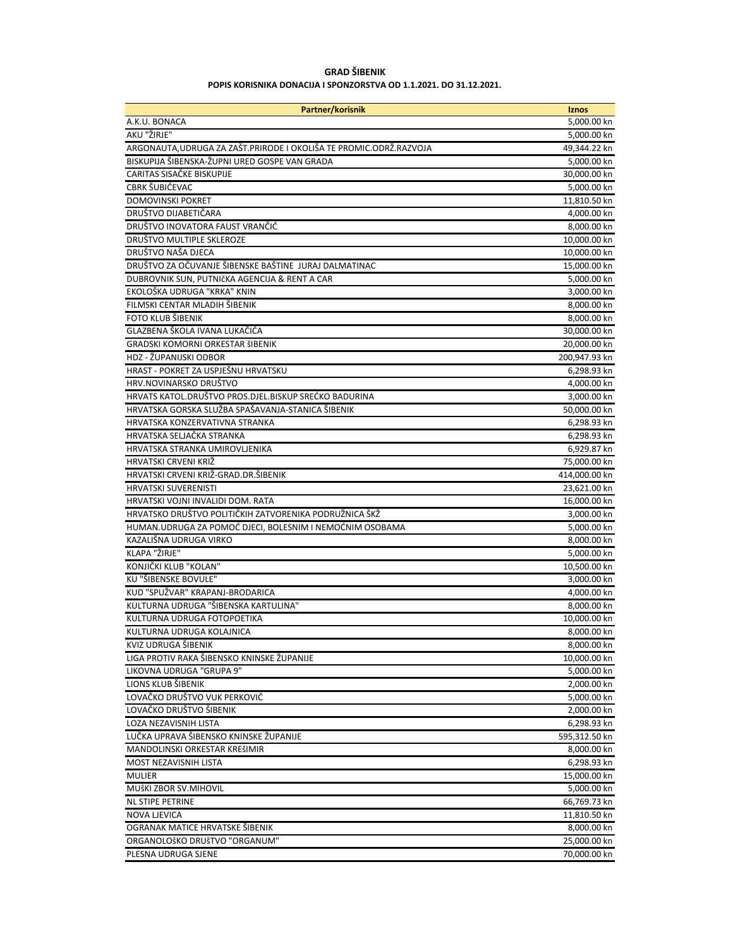## **GRAD ŠIBENIK POPIS KORISNIKA DONACIJA I SPONZORSTVA OD 1.1.2021. DO 31.12.2021.**

| Partner/korisnik                                                      | <b>Iznos</b>  |
|-----------------------------------------------------------------------|---------------|
| A.K.U. BONACA                                                         | 5,000.00 kn   |
| AKU "ŽIRJE"                                                           | 5,000.00 kn   |
| ARGONAUTA, UDRUGA ZA ZAŠT. PRIRODE I OKOLIŠA TE PROMIC. ODRŽ. RAZVOJA | 49,344.22 kn  |
| BISKUPIJA ŠIBENSKA-ŽUPNI URED GOSPE VAN GRADA                         | 5,000.00 kn   |
| CARITAS SISAČKE BISKUPIJE                                             | 30,000.00 kn  |
| CBRK ŠUBIĆEVAC                                                        | 5,000.00 kn   |
| <b>DOMOVINSKI POKRET</b>                                              | 11,810.50 kn  |
| DRUŠTVO DIJABETIČARA                                                  | 4,000.00 kn   |
| DRUŠTVO INOVATORA FAUST VRANČIĆ                                       | 8,000.00 kn   |
| DRUŠTVO MULTIPLE SKLEROZE                                             | 10,000.00 kn  |
| DRUŠTVO NAŠA DJECA                                                    | 10,000.00 kn  |
| DRUŠTVO ZA OČUVANJE ŠIBENSKE BAŠTINE JURAJ DALMATINAC                 | 15,000.00 kn  |
| DUBROVNIK SUN, PUTNIČKA AGENCIJA & RENT A CAR                         | 5,000.00 kn   |
| EKOLOŠKA UDRUGA "KRKA" KNIN                                           | 3,000.00 kn   |
| FILMSKI CENTAR MLADIH ŠIBENIK                                         | 8,000.00 kn   |
| FOTO KLUB ŠIBENIK                                                     | 8,000.00 kn   |
| GLAZBENA ŠKOLA IVANA LUKAČIĆA                                         | 30,000.00 kn  |
| GRADSKI KOMORNI ORKESTAR ŠIBENIK                                      | 20,000.00 kn  |
| HDZ - ŽUPANIJSKI ODBOR                                                | 200,947.93 kn |
| HRAST - POKRET ZA USPJEŠNU HRVATSKU                                   | 6,298.93 kn   |
| HRV.NOVINARSKO DRUŠTVO                                                | 4,000.00 kn   |
| HRVATS KATOL.DRUŠTVO PROS.DJEL.BISKUP SREĆKO BADURINA                 | 3,000.00 kn   |
| HRVATSKA GORSKA SLUŽBA SPAŠAVANJA-STANICA ŠIBENIK                     | 50,000.00 kn  |
| HRVATSKA KONZERVATIVNA STRANKA                                        | 6,298.93 kn   |
| HRVATSKA SELJAČKA STRANKA                                             | 6,298.93 kn   |
| HRVATSKA STRANKA UMIROVLJENIKA                                        | 6,929.87 kn   |
| HRVATSKI CRVENI KRIŽ                                                  | 75,000.00 kn  |
| HRVATSKI CRVENI KRIŽ-GRAD.DR.ŠIBENIK                                  | 414,000.00 kn |
| <b>HRVATSKI SUVERENISTI</b>                                           | 23,621.00 kn  |
| HRVATSKI VOJNI INVALIDI DOM. RATA                                     | 16,000.00 kn  |
| HRVATSKO DRUŠTVO POLITIČKIH ZATVORENIKA PODRUŽNICA ŠKŽ                | 3,000.00 kn   |
| HUMAN.UDRUGA ZA POMOĆ DJECI, BOLESNIM I NEMOČNIM OSOBAMA              | 5,000.00 kn   |
| KAZALIŠNA UDRUGA VIRKO                                                | 8,000.00 kn   |
| KLAPA "ŽIRJE"                                                         | 5,000.00 kn   |
| KONJIČKI KLUB "KOLAN"                                                 | 10,500.00 kn  |
| KU "ŠIBENSKE BOVULE"                                                  | 3,000.00 kn   |
| KUD "SPUŽVAR" KRAPANJ-BRODARICA                                       | 4,000.00 kn   |
| KULTURNA UDRUGA "ŠIBENSKA KARTULINA"                                  | 8,000.00 kn   |
| KULTURNA UDRUGA FOTOPOETIKA                                           | 10,000.00 kn  |
| KULTURNA UDRUGA KOLAJNICA                                             | 8,000.00 kn   |
| KVIZ UDRUGA ŠIBENIK                                                   | 8,000.00 kn   |
| LIGA PROTIV RAKA ŠIBENSKO KNINSKE ŽUPANIJE                            | 10,000.00 kn  |
| LIKOVNA UDRUGA "GRUPA 9"                                              | 5,000.00 kn   |
| LIONS KLUB ŠIBENIK                                                    | 2,000.00 kn   |
| LOVAČKO DRUŠTVO VUK PERKOVIĆ                                          | 5,000.00 kn   |
| LOVAČKO DRUŠTVO ŠIBENIK                                               | 2,000.00 kn   |
| LOZA NEZAVISNIH LISTA                                                 | 6,298.93 kn   |
| LUČKA UPRAVA ŠIBENSKO KNINSKE ŽUPANIJE                                | 595,312.50 kn |
| MANDOLINSKI ORKESTAR KREŠIMIR                                         | 8,000.00 kn   |
| MOST NEZAVISNIH LISTA                                                 | 6,298.93 kn   |
| <b>MULIER</b>                                                         | 15,000.00 kn  |
| MUŠKI ZBOR SV. MIHOVIL                                                | 5,000.00 kn   |
| <b>NL STIPE PETRINE</b>                                               | 66,769.73 kn  |
| NOVA LJEVICA                                                          | 11,810.50 kn  |
| OGRANAK MATICE HRVATSKE SIBENIK                                       | 8,000.00 kn   |
| ORGANOLOŠKO DRUŠTVO "ORGANUM"                                         | 25,000.00 kn  |
| PLESNA UDRUGA SJENE                                                   | 70,000.00 kn  |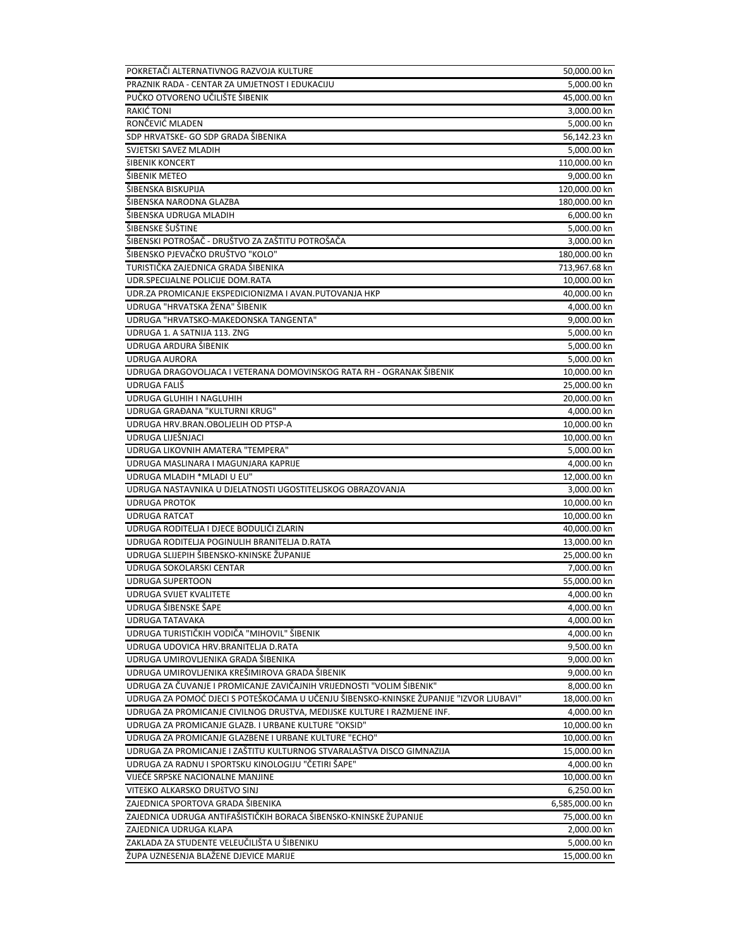| POKRETAČI ALTERNATIVNOG RAZVOJA KULTURE                                                | 50,000.00 kn    |
|----------------------------------------------------------------------------------------|-----------------|
| PRAZNIK RADA - CENTAR ZA UMJETNOST I EDUKACIJU                                         | 5,000.00 kn     |
| PUČKO OTVORENO UČILIŠTE ŠIBENIK                                                        | 45,000.00 kn    |
| RAKIĆ TONI                                                                             | 3,000.00 kn     |
| RONČEVIĆ MLADEN                                                                        | 5,000.00 kn     |
| SDP HRVATSKE- GO SDP GRADA ŠIBENIKA                                                    | 56,142.23 kn    |
| SVJETSKI SAVEZ MLADIH                                                                  | 5,000.00 kn     |
| <b>ŠIBENIK KONCERT</b>                                                                 | 110,000.00 kn   |
| ŠIBENIK METEO                                                                          | 9,000.00 kn     |
| ŠIBENSKA BISKUPIJA                                                                     | 120,000.00 kn   |
| ŠIBENSKA NARODNA GLAZBA                                                                | 180,000.00 kn   |
| ŠIBENSKA UDRUGA MLADIH                                                                 | 6,000.00 kn     |
| ŠIBENSKE ŠUŠTINE                                                                       | 5,000.00 kn     |
| ŠIBENSKI POTROŠAČ - DRUŠTVO ZA ZAŠTITU POTROŠAČA                                       | 3,000.00 kn     |
| ŠIBENSKO PJEVAČKO DRUŠTVO "KOLO"                                                       |                 |
|                                                                                        | 180,000.00 kn   |
| TURISTIČKA ZAJEDNICA GRADA ŠIBENIKA                                                    | 713,967.68 kn   |
| UDR.SPECIJALNE POLICIJE DOM.RATA                                                       | 10,000.00 kn    |
| UDR.ZA PROMICANJE EKSPEDICIONIZMA I AVAN.PUTOVANJA HKP                                 | 40,000.00 kn    |
| UDRUGA "HRVATSKA ŽENA" ŠIBENIK                                                         | 4,000.00 kn     |
| UDRUGA "HRVATSKO-MAKEDONSKA TANGENTA"                                                  | 9,000.00 kn     |
| UDRUGA 1. A SATNIJA 113. ZNG                                                           | 5,000.00 kn     |
| UDRUGA ARDURA ŠIBENIK                                                                  | 5,000.00 kn     |
| <b>UDRUGA AURORA</b>                                                                   | 5,000.00 kn     |
| UDRUGA DRAGOVOLJACA I VETERANA DOMOVINSKOG RATA RH - OGRANAK ŠIBENIK                   | 10,000.00 kn    |
| UDRUGA FALIŠ                                                                           | 25,000.00 kn    |
| <b>UDRUGA GLUHIH I NAGLUHIH</b>                                                        | 20,000.00 kn    |
| UDRUGA GRAĐANA "KULTURNI KRUG"                                                         | 4,000.00 kn     |
| UDRUGA HRV.BRAN.OBOLJELIH OD PTSP-A                                                    | 10,000.00 kn    |
| UDRUGA LIJEŠNJACI                                                                      | 10,000.00 kn    |
| UDRUGA LIKOVNIH AMATERA "TEMPERA"                                                      | 5,000.00 kn     |
| UDRUGA MASLINARA I MAGUNJARA KAPRIJE                                                   | 4,000.00 kn     |
| UDRUGA MLADIH *MLADI U EU"                                                             | 12,000.00 kn    |
| UDRUGA NASTAVNIKA U DJELATNOSTI UGOSTITELJSKOG OBRAZOVANJA                             | 3,000.00 kn     |
| <b>UDRUGA PROTOK</b>                                                                   | 10,000.00 kn    |
| <b>UDRUGA RATCAT</b>                                                                   | 10,000.00 kn    |
| UDRUGA RODITELJA I DJECE BODULIĆI ZLARIN                                               | 40,000.00 kn    |
| UDRUGA RODITELJA POGINULIH BRANITELJA D.RATA                                           |                 |
| UDRUGA SLIJEPIH ŠIBENSKO-KNINSKE ŽUPANIJE                                              | 13,000.00 kn    |
|                                                                                        | 25,000.00 kn    |
| UDRUGA SOKOLARSKI CENTAR                                                               | 7,000.00 kn     |
| <b>UDRUGA SUPERTOON</b>                                                                | 55,000.00 kn    |
| UDRUGA SVIJET KVALITETE                                                                | 4,000.00 kn     |
| UDRUGA ŠIBENSKE ŠAPE                                                                   | 4,000.00 kn     |
| <b>UDRUGA TATAVAKA</b>                                                                 | 4,000.00 kn     |
| UDRUGA TURISTIČKIH VODIČA "MIHOVIL" ŠIBENIK                                            | 4,000.00 kn     |
| UDRUGA UDOVICA HRV.BRANITELJA D.RATA                                                   | 9,500.00 kn     |
| UDRUGA UMIROVLJENIKA GRADA ŠIBENIKA                                                    | 9,000.00 kn     |
| UDRUGA UMIROVLJENIKA KREŠIMIROVA GRADA ŠIBENIK                                         | 9,000.00 kn     |
| UDRUGA ZA ČUVANJE I PROMICANJE ZAVIČAJNIH VRIJEDNOSTI "VOLIM ŠIBENIK"                  | 8,000.00 kn     |
| UDRUGA ZA POMOĆ DJECI S POTEŠKOĆAMA U UČENJU ŠIBENSKO-KNINSKE ŽUPANIJE "IZVOR LJUBAVI" | 18,000.00 kn    |
| UDRUGA ZA PROMICANJE CIVILNOG DRUŠTVA, MEDIJSKE KULTURE I RAZMJENE INF.                | 4,000.00 kn     |
| UDRUGA ZA PROMICANJE GLAZB. I URBANE KULTURE "OKSID"                                   | 10,000.00 kn    |
| UDRUGA ZA PROMICANJE GLAZBENE I URBANE KULTURE "ECHO"                                  | 10,000.00 kn    |
| UDRUGA ZA PROMICANJE I ZAŠTITU KULTURNOG STVARALAŠTVA DISCO GIMNAZIJA                  | 15,000.00 kn    |
| UDRUGA ZA RADNU I SPORTSKU KINOLOGIJU "ČETIRI ŠAPE"                                    | 4,000.00 kn     |
| VIJEČE SRPSKE NACIONALNE MANJINE                                                       | 10,000.00 kn    |
| VITEŠKO ALKARSKO DRUŠTVO SINJ                                                          | 6,250.00 kn     |
| ZAJEDNICA SPORTOVA GRADA ŠIBENIKA                                                      | 6,585,000.00 kn |
| ZAJEDNICA UDRUGA ANTIFAŠISTIČKIH BORACA ŠIBENSKO-KNINSKE ŽUPANIJE                      |                 |
|                                                                                        | 75,000.00 kn    |
| ZAJEDNICA UDRUGA KLAPA                                                                 | 2,000.00 kn     |
| ZAKLADA ZA STUDENTE VELEUČILIŠTA U ŠIBENIKU                                            | 5,000.00 kn     |
| ŽUPA UZNESENJA BLAŽENE DJEVICE MARIJE                                                  | 15,000.00 kn    |